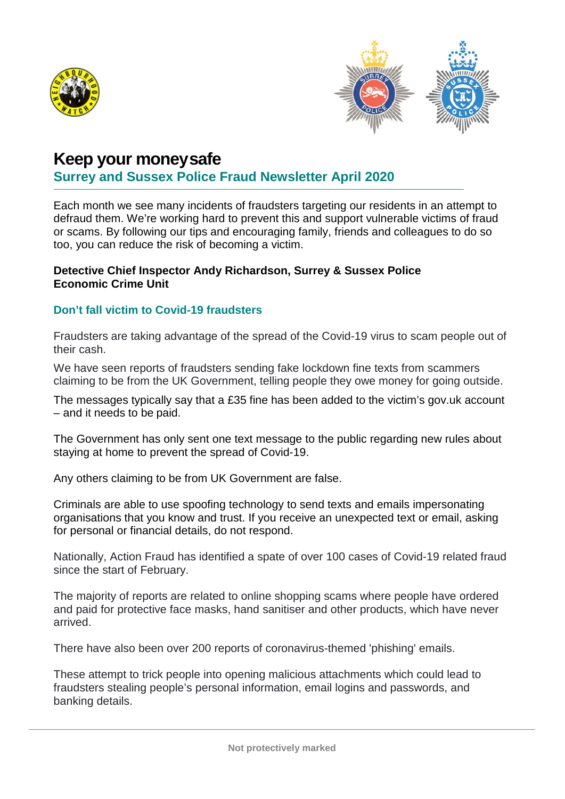



## **Keep your moneysafe**

### **Surrey and Sussex Police Fraud Newsletter April 2020**

Each month we see many incidents of fraudsters targeting our residents in an attempt to defraud them. We're working hard to prevent this and support vulnerable victims of fraud or scams. By following our tips and encouraging family, friends and colleagues to do so too, you can reduce the risk of becoming a victim.

#### **Detective Chief Inspector Andy Richardson, Surrey & Sussex Police Economic Crime Unit**

### **Don't fall victim to Covid-19 fraudsters**

Fraudsters are taking advantage of the spread of the Covid-19 virus to scam people out of their cash.

We have seen reports of fraudsters sending fake lockdown fine texts from scammers claiming to be from the UK Government, telling people they owe money for going outside.

The messages typically say that a £35 fine has been added to the victim's gov.uk account – and it needs to be paid.

The Government has only sent one text message to the public regarding new rules about staying at home to prevent the spread of Covid-19.

Any others claiming to be from UK Government are false.

Criminals are able to use spoofing technology to send texts and emails impersonating organisations that you know and trust. If you receive an unexpected text or email, asking for personal or financial details, do not respond.

Nationally, Action Fraud has identified a spate of over 100 cases of Covid-19 related fraud since the start of February.

The majority of reports are related to online shopping scams where people have ordered and paid for protective face masks, hand sanitiser and other products, which have never arrived.

There have also been over 200 reports of coronavirus-themed 'phishing' emails.

These attempt to trick people into opening malicious attachments which could lead to fraudsters stealing people's personal information, email logins and passwords, and banking details.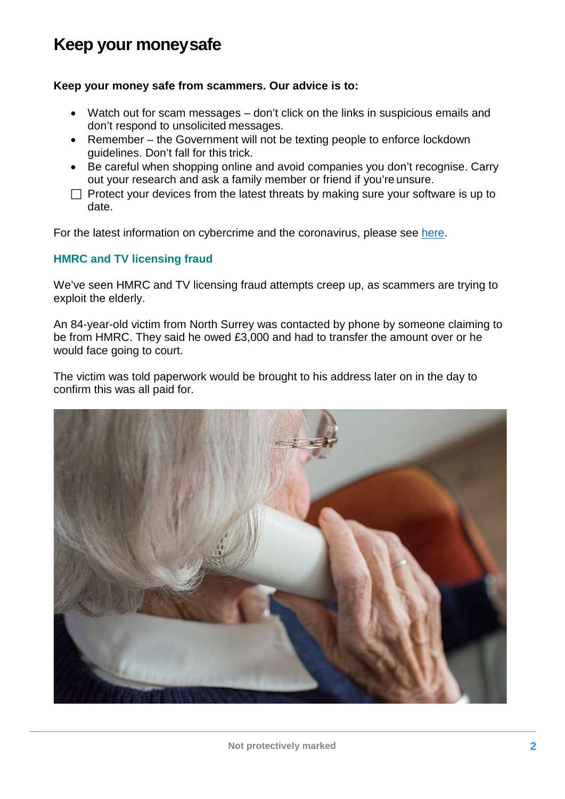# **Keep your moneysafe**

### **Keep your money safe from scammers. Our advice is to:**

- Watch out for scam messages don't click on the links in suspicious emails and don't respond to unsolicited messages.
- Remember the Government will not be texting people to enforce lockdown guidelines. Don't fall for this trick.
- Be careful when shopping online and avoid companies you don't recognise. Carry out your research and ask a family member or friend if you're unsure.
- $\Box$  Protect your devices from the latest threats by making sure your software is up to date.

For the latest information on cybercrime and the coronavirus, please see [here.](https://www.sussex.police.uk/SysSiteAssets/media/downloads/sussex/advice/operations-initiatives-and-watch-schemes/operation-signature/ccu-newsletter.pdf)

### **HMRC and TV licensing fraud**

We've seen HMRC and TV licensing fraud attempts creep up, as scammers are trying to exploit the elderly.

An 84-year-old victim from North Surrey was contacted by phone by someone claiming to be from HMRC. They said he owed £3,000 and had to transfer the amount over or he would face going to court.

The victim was told paperwork would be brought to his address later on in the day to confirm this was all paid for.